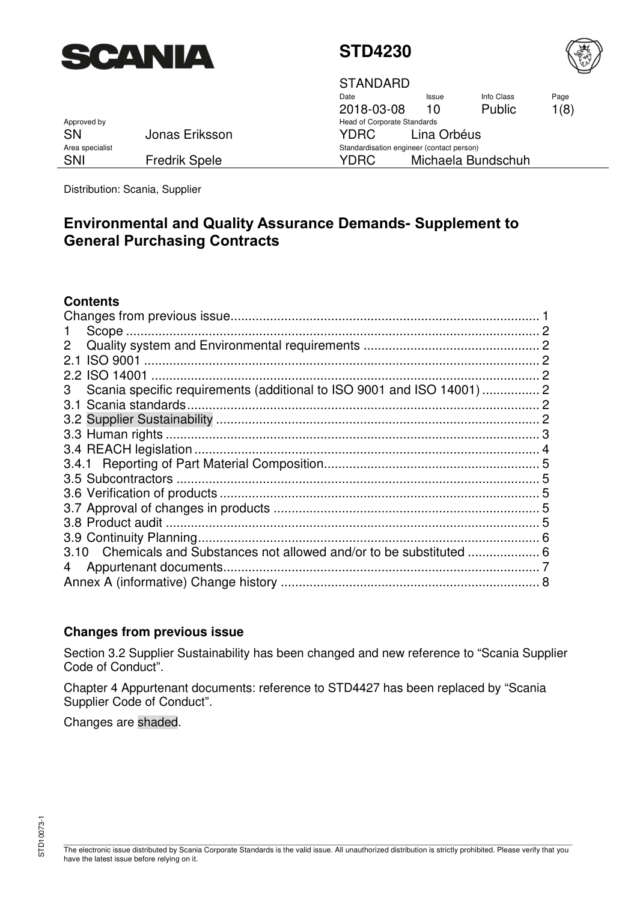



STANDARD

Date 2018-03-08 Issue 10 Info Class Public Page 1(8) Standardisation engineer (contact person) SNI Fredrik Spele YDRC Michaela Bundschuh

Approved by **Approved by** Approved by **Head of Corporate Standards** SN Jonas Eriksson YDRC Lina Orbéus<br>Area specialist Standardisation engineer (contact person)

Distribution: Scania, Supplier

## **Environmental and Quality Assurance Demands- Supplement to General Purchasing Contracts**

### **Contents**

| $\mathbf{2}^{\mathsf{I}}$                                                   |  |
|-----------------------------------------------------------------------------|--|
| 2.1                                                                         |  |
| <b>ISO 14001</b><br>2.2                                                     |  |
| Scania specific requirements (additional to ISO 9001 and ISO 14001)  2<br>3 |  |
|                                                                             |  |
|                                                                             |  |
|                                                                             |  |
|                                                                             |  |
|                                                                             |  |
|                                                                             |  |
|                                                                             |  |
|                                                                             |  |
|                                                                             |  |
|                                                                             |  |
|                                                                             |  |
|                                                                             |  |
|                                                                             |  |
|                                                                             |  |

### **Changes from previous issue**

Section [3.2 Supplier Sustainabilit](#page-1-0)y has been changed and new reference to "Scania Supplier Code of Conduct".

Chapter [4 Appurtenant documents](#page-6-0): reference to STD4427 has been replaced by "Scania Supplier Code of Conduct".

Changes are shaded.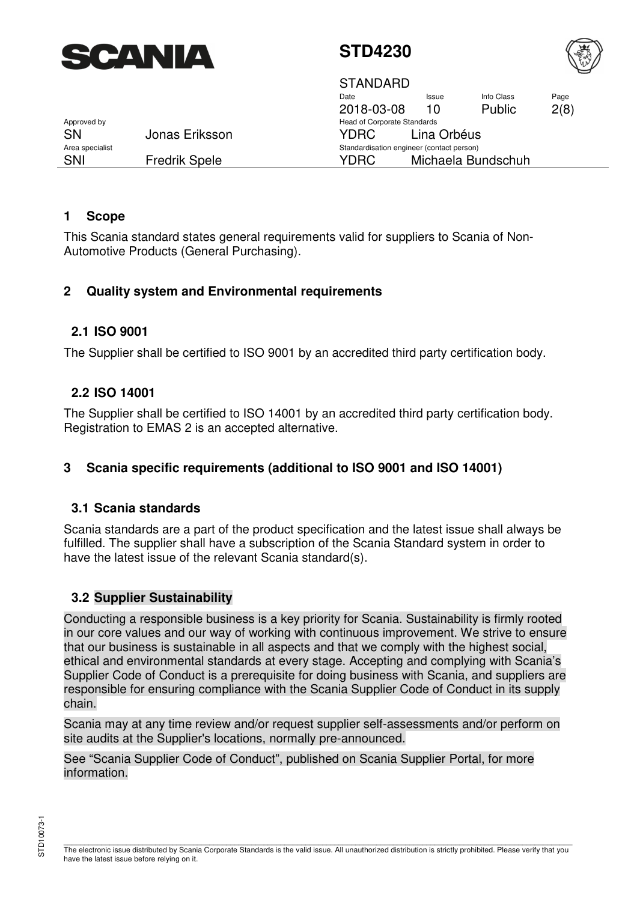<span id="page-1-0"></span>

 $\overline{\Omega}$ 



|                 |                      | SIANDARD                                  |              |                    |      |
|-----------------|----------------------|-------------------------------------------|--------------|--------------------|------|
|                 |                      | Date                                      | <b>Issue</b> | Info Class         | Page |
|                 |                      | 2018-03-08                                | 10           | <b>Public</b>      | 2(8) |
| Approved by     |                      | <b>Head of Corporate Standards</b>        |              |                    |      |
| <b>SN</b>       | Jonas Eriksson       | YDRC.                                     | Lina Orbéus  |                    |      |
| Area specialist |                      | Standardisation engineer (contact person) |              |                    |      |
| SNI             | <b>Fredrik Spele</b> | YDRC                                      |              | Michaela Bundschuh |      |

### **1 Scope**

This Scania standard states general requirements valid for suppliers to Scania of Non-Automotive Products (General Purchasing).

### **2 Quality system and Environmental requirements**

### **2.1 ISO 9001**

The Supplier shall be certified to ISO 9001 by an accredited third party certification body.

### **2.2 ISO 14001**

The Supplier shall be certified to ISO 14001 by an accredited third party certification body. Registration to EMAS 2 is an accepted alternative.

### **3 Scania specific requirements (additional to ISO 9001 and ISO 14001)**

#### **3.1 Scania standards**

Scania standards are a part of the product specification and the latest issue shall always be fulfilled. The supplier shall have a subscription of the Scania Standard system in order to have the latest issue of the relevant Scania standard(s).

#### **3.2 Supplier Sustainability**

Conducting a responsible business is a key priority for Scania. Sustainability is firmly rooted in our core values and our way of working with continuous improvement. We strive to ensure that our business is sustainable in all aspects and that we comply with the highest social, ethical and environmental standards at every stage. Accepting and complying with Scania's Supplier Code of Conduct is a prerequisite for doing business with Scania, and suppliers are responsible for ensuring compliance with the Scania Supplier Code of Conduct in its supply chain.

Scania may at any time review and/or request supplier self-assessments and/or perform on site audits at the Supplier's locations, normally pre-announced.

See "Scania Supplier Code of Conduct", published on Scania Supplier Portal, for more information.

\_\_\_\_\_\_\_\_\_\_\_\_\_\_\_\_\_\_\_\_\_\_\_\_\_\_\_\_\_\_\_\_\_\_\_\_\_\_\_\_\_\_\_\_\_\_\_\_\_\_\_\_\_\_\_\_\_\_\_\_\_\_\_\_\_\_\_\_\_\_\_\_\_\_\_\_\_\_\_\_\_\_\_\_\_\_\_\_\_\_\_\_\_\_\_\_\_\_\_\_\_\_\_\_\_\_\_\_\_\_\_\_\_\_\_\_\_\_\_\_\_\_ The electronic issue distributed by Scania Corporate Standards is the valid issue. All unauthorized distribution is strictly prohibited. Please verify that you have the latest issue before relying on it.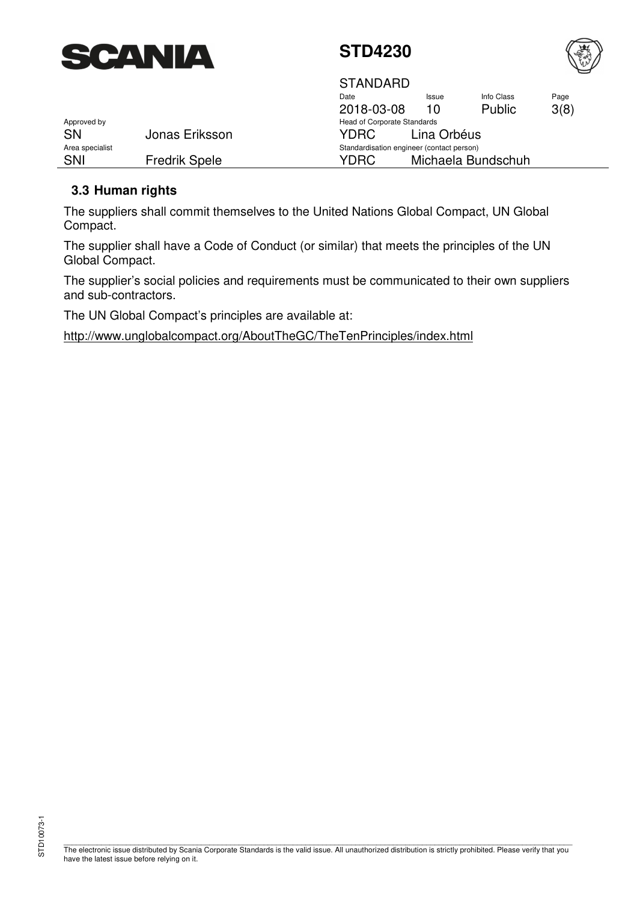<span id="page-2-0"></span>



|                 |                      | <b>STANDARD</b>                           |             |                    |      |
|-----------------|----------------------|-------------------------------------------|-------------|--------------------|------|
|                 |                      | Date                                      | Issue       | Info Class         | Page |
|                 |                      | 2018-03-08                                | 10          | <b>Public</b>      | 3(8) |
| Approved by     |                      | <b>Head of Corporate Standards</b>        |             |                    |      |
| <b>SN</b>       | Jonas Eriksson       | YDRC.                                     | Lina Orbéus |                    |      |
| Area specialist |                      | Standardisation engineer (contact person) |             |                    |      |
| SNI             | <b>Fredrik Spele</b> | YDRC                                      |             | Michaela Bundschuh |      |

### **3.3 Human rights**

The suppliers shall commit themselves to the United Nations Global Compact, UN Global Compact.

The supplier shall have a Code of Conduct (or similar) that meets the principles of the UN Global Compact.

The supplier's social policies and requirements must be communicated to their own suppliers and sub-contractors.

The UN Global Compact's principles are available at:

[http://www.unglobalcompact.org/AboutTheGC/TheTenPrinciples/index.htm](http://www.unglobalcompact.org/AboutTheGC/TheTenPrinciples/index.html)l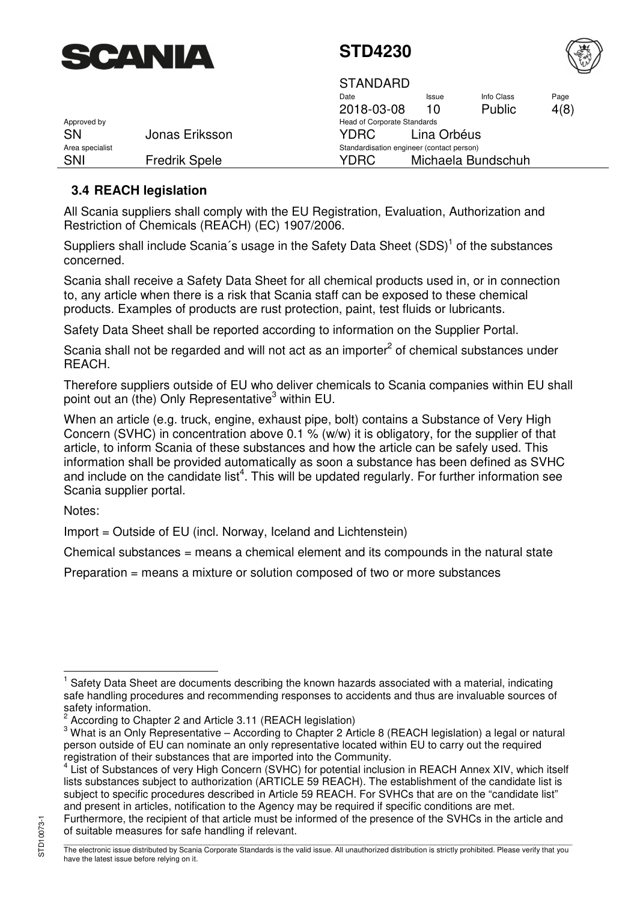<span id="page-3-0"></span>



|                 |                      | STANDARD                                  |              |                    |      |  |
|-----------------|----------------------|-------------------------------------------|--------------|--------------------|------|--|
|                 |                      | Date                                      | <b>Issue</b> | Info Class         | Page |  |
|                 |                      | 2018-03-08                                | 10           | Public             | 4(8) |  |
| Approved by     |                      | <b>Head of Corporate Standards</b>        |              |                    |      |  |
| <b>SN</b>       | Jonas Eriksson       | YDRC.                                     | Lina Orbéus  |                    |      |  |
| Area specialist |                      | Standardisation engineer (contact person) |              |                    |      |  |
| SNI             | <b>Fredrik Spele</b> | YDRC                                      |              | Michaela Bundschuh |      |  |

### **3.4 REACH legislation**

All Scania suppliers shall comply with the EU Registration, Evaluation, Authorization and Restriction of Chemicals (REACH) (EC) 1907/2006.

Suppliers shall include Scania's usage in the Safety Data Sheet  $(SDS)^1$  of the substances concerned.

Scania shall receive a Safety Data Sheet for all chemical products used in, or in connection to, any article when there is a risk that Scania staff can be exposed to these chemical products. Examples of products are rust protection, paint, test fluids or lubricants.

Safety Data Sheet shall be reported according to information on the Supplier Portal.

Scania shall not be regarded and will not act as an importer $^2$  of chemical substances under REACH.

Therefore suppliers outside of EU who deliver chemicals to Scania companies within EU shall point out an (the) Only Representative<sup>3</sup> within EU.

When an article (e.g. truck, engine, exhaust pipe, bolt) contains a Substance of Very High Concern (SVHC) in concentration above 0.1 % (w/w) it is obligatory, for the supplier of that article, to inform Scania of these substances and how the article can be safely used. This information shall be provided automatically as soon a substance has been defined as SVHC and include on the candidate list<sup>4</sup>. This will be updated regularly. For further information see Scania supplier portal.

Notes:

Import = Outside of EU (incl. Norway, Iceland and Lichtenstein)

Chemical substances = means a chemical element and its compounds in the natural state

Preparation = means a mixture or solution composed of two or more substances

 1 Safety Data Sheet are documents describing the known hazards associated with a material, indicating safe handling procedures and recommending responses to accidents and thus are invaluable sources of safety information.

<sup>2</sup> According to Chapter 2 and Article 3.11 (REACH legislation)

 $3$  What is an Only Representative – According to Chapter 2 Article 8 (REACH legislation) a legal or natural person outside of EU can nominate an only representative located within EU to carry out the required registration of their substances that are imported into the Community.

<sup>&</sup>lt;sup>4</sup> List of Substances of very High Concern (SVHC) for potential inclusion in REACH Annex XIV, which itself lists substances subject to authorization (ARTICLE 59 REACH). The establishment of the candidate list is subject to specific procedures described in Article 59 REACH. For SVHCs that are on the "candidate list" and present in articles, notification to the Agency may be required if specific conditions are met. Furthermore, the recipient of that article must be informed of the presence of the SVHCs in the article and of suitable measures for safe handling if relevant.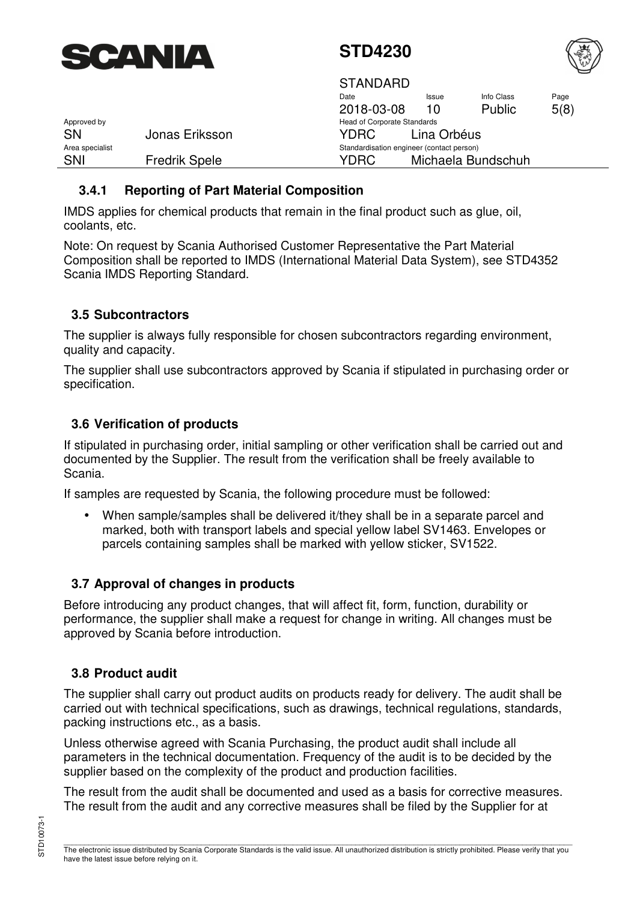<span id="page-4-0"></span>



|                 |                      | <b>STANDARD</b>                           |             |                    |      |  |
|-----------------|----------------------|-------------------------------------------|-------------|--------------------|------|--|
|                 |                      | Date                                      | Issue       | Info Class         | Page |  |
|                 |                      | 2018-03-08                                | 10          | Public             | 5(8) |  |
| Approved by     |                      | <b>Head of Corporate Standards</b>        |             |                    |      |  |
| <b>SN</b>       | Jonas Eriksson       | <b>YDRC</b>                               | Lina Orbéus |                    |      |  |
| Area specialist |                      | Standardisation engineer (contact person) |             |                    |      |  |
| <b>SNI</b>      | <b>Fredrik Spele</b> | YDRC                                      |             | Michaela Bundschuh |      |  |

### **3.4.1 Reporting of Part Material Composition**

IMDS applies for chemical products that remain in the final product such as glue, oil, coolants, etc.

Note: On request by Scania Authorised Customer Representative the Part Material Composition shall be reported to IMDS (International Material Data System), see STD4352 Scania IMDS Reporting Standard.

### **3.5 Subcontractors**

The supplier is always fully responsible for chosen subcontractors regarding environment, quality and capacity.

The supplier shall use subcontractors approved by Scania if stipulated in purchasing order or specification.

## **3.6 Verification of products**

If stipulated in purchasing order, initial sampling or other verification shall be carried out and documented by the Supplier. The result from the verification shall be freely available to Scania.

If samples are requested by Scania, the following procedure must be followed:

• When sample/samples shall be delivered it/they shall be in a separate parcel and marked, both with transport labels and special yellow label SV1463. Envelopes or parcels containing samples shall be marked with yellow sticker, SV1522.

### **3.7 Approval of changes in products**

Before introducing any product changes, that will affect fit, form, function, durability or performance, the supplier shall make a request for change in writing. All changes must be approved by Scania before introduction.

### **3.8 Product audit**

The supplier shall carry out product audits on products ready for delivery. The audit shall be carried out with technical specifications, such as drawings, technical regulations, standards, packing instructions etc., as a basis.

Unless otherwise agreed with Scania Purchasing, the product audit shall include all parameters in the technical documentation. Frequency of the audit is to be decided by the supplier based on the complexity of the product and production facilities.

The result from the audit shall be documented and used as a basis for corrective measures. The result from the audit and any corrective measures shall be filed by the Supplier for at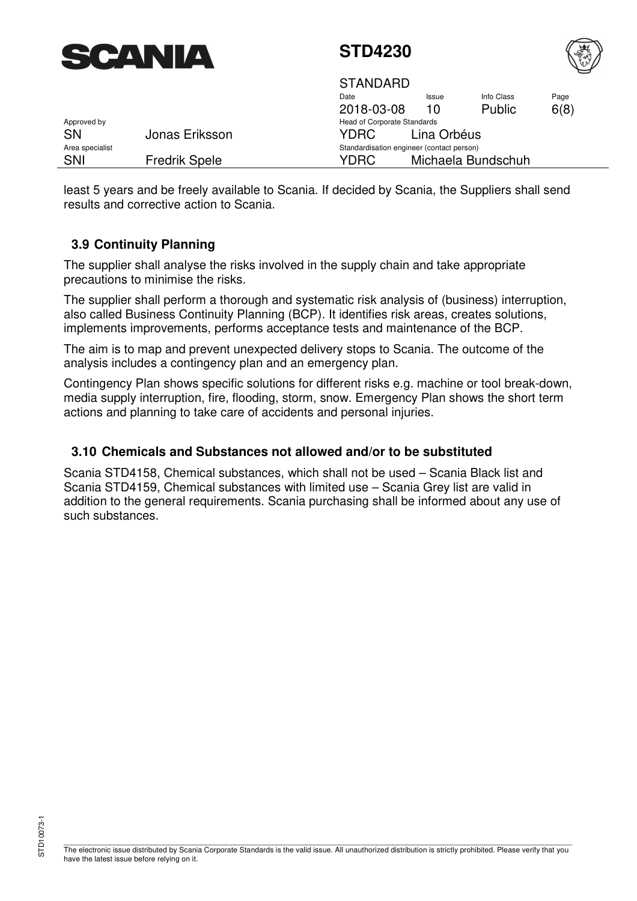<span id="page-5-0"></span>



|                 |                      | <b>STANDARD</b>                           |             |                    |      |
|-----------------|----------------------|-------------------------------------------|-------------|--------------------|------|
|                 |                      | Date                                      | Issue       | Info Class         | Page |
|                 |                      | 2018-03-08                                | 10          | Public             | 6(8) |
| Approved by     |                      | <b>Head of Corporate Standards</b>        |             |                    |      |
| <b>SN</b>       | Jonas Eriksson       | YDRC.                                     | Lina Orbéus |                    |      |
| Area specialist |                      | Standardisation engineer (contact person) |             |                    |      |
| SNI             | <b>Fredrik Spele</b> | YDRC                                      |             | Michaela Bundschuh |      |

least 5 years and be freely available to Scania. If decided by Scania, the Suppliers shall send results and corrective action to Scania.

### **3.9 Continuity Planning**

The supplier shall analyse the risks involved in the supply chain and take appropriate precautions to minimise the risks.

The supplier shall perform a thorough and systematic risk analysis of (business) interruption, also called Business Continuity Planning (BCP). It identifies risk areas, creates solutions, implements improvements, performs acceptance tests and maintenance of the BCP.

The aim is to map and prevent unexpected delivery stops to Scania. The outcome of the analysis includes a contingency plan and an emergency plan.

Contingency Plan shows specific solutions for different risks e.g. machine or tool break-down, media supply interruption, fire, flooding, storm, snow. Emergency Plan shows the short term actions and planning to take care of accidents and personal injuries.

#### **3.10 Chemicals and Substances not allowed and/or to be substituted**

Scania STD4158, Chemical substances, which shall not be used – Scania Black list and Scania STD4159, Chemical substances with limited use – Scania Grey list are valid in addition to the general requirements. Scania purchasing shall be informed about any use of such substances.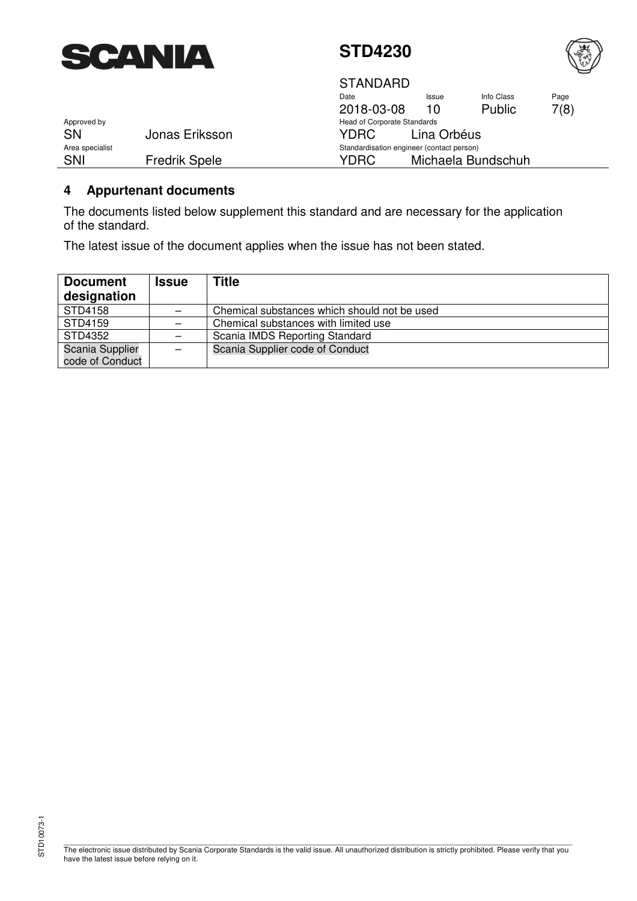<span id="page-6-0"></span>



**STANDARD** 

|                 |                      | Date                                      | <b>Issue</b> | Info Class         | Page |  |  |  |
|-----------------|----------------------|-------------------------------------------|--------------|--------------------|------|--|--|--|
|                 |                      | 2018-03-08                                | 10           | <b>Public</b>      | 7(8) |  |  |  |
| Approved by     |                      | Head of Corporate Standards               |              |                    |      |  |  |  |
| SΝ              | Jonas Eriksson       | YDRC.                                     | Lina Orbéus  |                    |      |  |  |  |
| Area specialist |                      | Standardisation engineer (contact person) |              |                    |      |  |  |  |
| SNI             | <b>Fredrik Spele</b> | YDRC                                      |              | Michaela Bundschuh |      |  |  |  |

### **4 Appurtenant documents**

The documents listed below supplement this standard and are necessary for the application of the standard.

The latest issue of the document applies when the issue has not been stated.

| <b>Document</b><br>designation | <b>Issue</b> | <b>Title</b>                                 |
|--------------------------------|--------------|----------------------------------------------|
| STD4158                        |              | Chemical substances which should not be used |
| STD4159                        |              | Chemical substances with limited use         |
| STD4352                        |              | Scania IMDS Reporting Standard               |
| Scania Supplier                |              | Scania Supplier code of Conduct              |
| code of Conduct                |              |                                              |